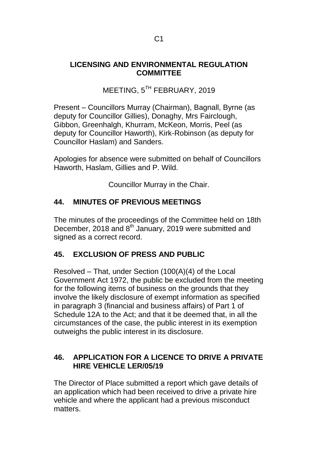### **LICENSING AND ENVIRONMENTAL REGULATION COMMITTEE**

# MEETING, 5<sup>TH</sup> FEBRUARY, 2019

Present – Councillors Murray (Chairman), Bagnall, Byrne (as deputy for Councillor Gillies), Donaghy, Mrs Fairclough, Gibbon, Greenhalgh, Khurram, McKeon, Morris, Peel (as deputy for Councillor Haworth), Kirk-Robinson (as deputy for Councillor Haslam) and Sanders.

Apologies for absence were submitted on behalf of Councillors Haworth, Haslam, Gillies and P. Wild.

Councillor Murray in the Chair.

# **44. MINUTES OF PREVIOUS MEETINGS**

The minutes of the proceedings of the Committee held on 18th December, 2018 and 8<sup>th</sup> January, 2019 were submitted and signed as a correct record.

# **45. EXCLUSION OF PRESS AND PUBLIC**

Resolved – That, under Section (100(A)(4) of the Local Government Act 1972, the public be excluded from the meeting for the following items of business on the grounds that they involve the likely disclosure of exempt information as specified in paragraph 3 (financial and business affairs) of Part 1 of Schedule 12A to the Act; and that it be deemed that, in all the circumstances of the case, the public interest in its exemption outweighs the public interest in its disclosure.

# **46. APPLICATION FOR A LICENCE TO DRIVE A PRIVATE HIRE VEHICLE LER/05/19**

The Director of Place submitted a report which gave details of an application which had been received to drive a private hire vehicle and where the applicant had a previous misconduct matters.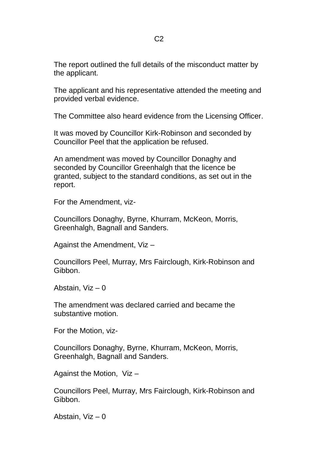The report outlined the full details of the misconduct matter by the applicant.

The applicant and his representative attended the meeting and provided verbal evidence.

The Committee also heard evidence from the Licensing Officer.

It was moved by Councillor Kirk-Robinson and seconded by Councillor Peel that the application be refused.

An amendment was moved by Councillor Donaghy and seconded by Councillor Greenhalgh that the licence be granted, subject to the standard conditions, as set out in the report.

For the Amendment, viz-

Councillors Donaghy, Byrne, Khurram, McKeon, Morris, Greenhalgh, Bagnall and Sanders.

Against the Amendment, Viz –

Councillors Peel, Murray, Mrs Fairclough, Kirk-Robinson and Gibbon.

Abstain, Viz – 0

The amendment was declared carried and became the substantive motion.

For the Motion, viz-

Councillors Donaghy, Byrne, Khurram, McKeon, Morris, Greenhalgh, Bagnall and Sanders.

Against the Motion, Viz –

Councillors Peel, Murray, Mrs Fairclough, Kirk-Robinson and Gibbon.

Abstain, Viz – 0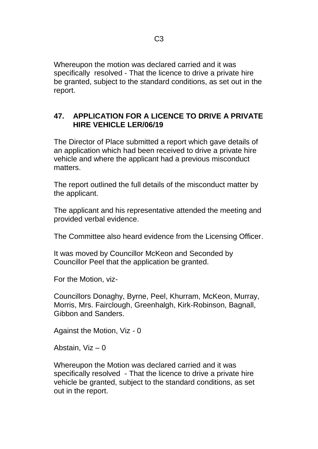Whereupon the motion was declared carried and it was specifically resolved - That the licence to drive a private hire be granted, subject to the standard conditions, as set out in the report.

### **47. APPLICATION FOR A LICENCE TO DRIVE A PRIVATE HIRE VEHICLE LER/06/19**

The Director of Place submitted a report which gave details of an application which had been received to drive a private hire vehicle and where the applicant had a previous misconduct matters.

The report outlined the full details of the misconduct matter by the applicant.

The applicant and his representative attended the meeting and provided verbal evidence.

The Committee also heard evidence from the Licensing Officer.

It was moved by Councillor McKeon and Seconded by Councillor Peel that the application be granted.

For the Motion, viz-

Councillors Donaghy, Byrne, Peel, Khurram, McKeon, Murray, Morris, Mrs. Fairclough, Greenhalgh, Kirk-Robinson, Bagnall, Gibbon and Sanders.

Against the Motion, Viz - 0

Abstain, Viz – 0

Whereupon the Motion was declared carried and it was specifically resolved - That the licence to drive a private hire vehicle be granted, subject to the standard conditions, as set out in the report.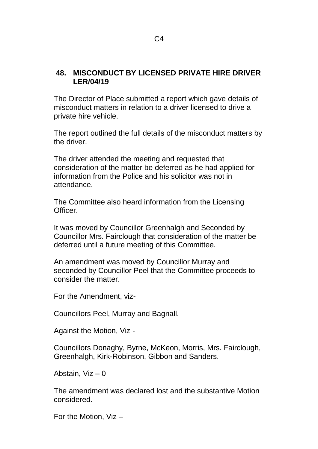### **48. MISCONDUCT BY LICENSED PRIVATE HIRE DRIVER LER/04/19**

The Director of Place submitted a report which gave details of misconduct matters in relation to a driver licensed to drive a private hire vehicle.

The report outlined the full details of the misconduct matters by the driver.

The driver attended the meeting and requested that consideration of the matter be deferred as he had applied for information from the Police and his solicitor was not in attendance.

The Committee also heard information from the Licensing Officer.

It was moved by Councillor Greenhalgh and Seconded by Councillor Mrs. Fairclough that consideration of the matter be deferred until a future meeting of this Committee.

An amendment was moved by Councillor Murray and seconded by Councillor Peel that the Committee proceeds to consider the matter.

For the Amendment, viz-

Councillors Peel, Murray and Bagnall.

Against the Motion, Viz -

Councillors Donaghy, Byrne, McKeon, Morris, Mrs. Fairclough, Greenhalgh, Kirk-Robinson, Gibbon and Sanders.

Abstain, Viz – 0

The amendment was declared lost and the substantive Motion considered.

For the Motion, Viz –